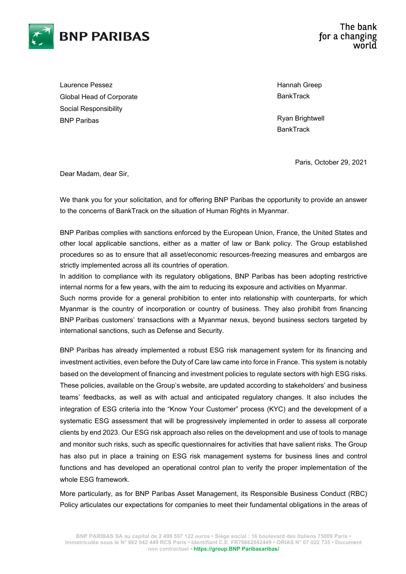

Laurence Pessez Global Head of Corporate Social Responsibility BNP Paribas

Hannah Greep **BankTrack** 

Ryan Brightwell **BankTrack** 

Paris, October 29, 2021

Dear Madam, dear Sir,

We thank you for your solicitation, and for offering BNP Paribas the opportunity to provide an answer to the concerns of BankTrack on the situation of Human Rights in Myanmar.

BNP Paribas complies with sanctions enforced by the European Union, France, the United States and other local applicable sanctions, either as a matter of law or Bank policy. The Group established procedures so as to ensure that all asset/economic resources-freezing measures and embargos are strictly implemented across all its countries of operation.

In addition to compliance with its regulatory obligations, BNP Paribas has been adopting restrictive internal norms for a few years, with the aim to reducing its exposure and activities on Myanmar.

Such norms provide for a general prohibition to enter into relationship with counterparts, for which Myanmar is the country of incorporation or country of business. They also prohibit from financing BNP Paribas customers' transactions with a Myanmar nexus, beyond business sectors targeted by international sanctions, such as Defense and Security.

BNP Paribas has already implemented a robust ESG risk management system for its financing and investment activities, even before the Duty of Care law came into force in France. This system is notably based on the development of financing and investment policies to regulate sectors with high ESG risks. These policies, available on the Group's website, are updated according to stakeholders' and business teams' feedbacks, as well as with actual and anticipated regulatory changes. It also includes the integration of ESG criteria into the "Know Your Customer" process (KYC) and the development of a systematic ESG assessment that will be progressively implemented in order to assess all corporate clients by end 2023. Our ESG risk approach also relies on the development and use of tools to manage and monitor such risks, such as specific questionnaires for activities that have salient risks. The Group has also put in place a training on ESG risk management systems for business lines and control functions and has developed an operational control plan to verify the proper implementation of the whole ESG framework.

More particularly, as for BNP Paribas Asset Management, its Responsible Business Conduct (RBC) Policy articulates our expectations for companies to meet their fundamental obligations in the areas of